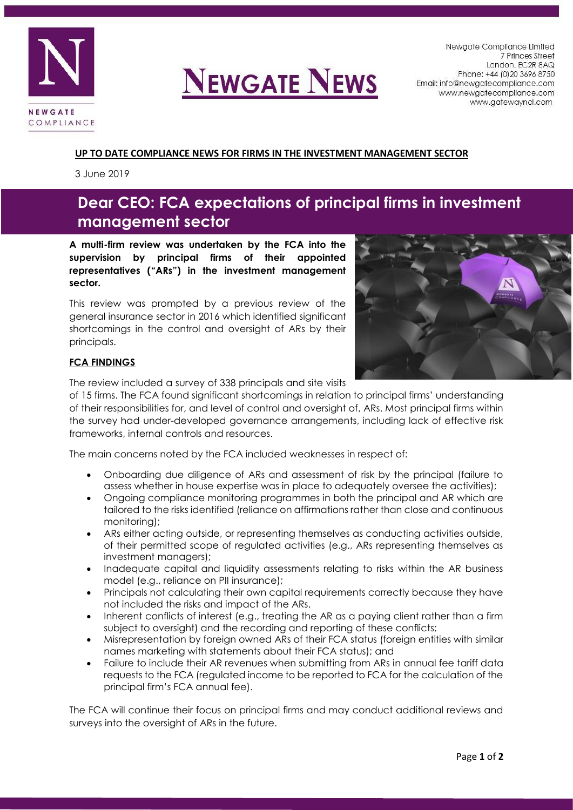

## **NEWGATE NEWS**

Newgate Compliance Limited 7 Princes Street London. EC2R 8AQ Phone: +44 (0) 20 3696 8750 Email: info@newgatecompliance.com www.newgatecompliance.com www.gatewayncl.com

#### **UP TO DATE COMPLIANCE NEWS FOR FIRMS IN THE INVESTMENT MANAGEMENT SECTOR**

3 June 2019

### **Dear CEO: FCA expectations of principal firms in investment management sector**

**A multi-firm review was undertaken by the FCA into the supervision by principal firms of their appointed representatives ("ARs") in the investment management sector.**

This review was prompted by a previous review of the general insurance sector in 2016 which identified significant shortcomings in the control and oversight of ARs by their principals.



#### **FCA FINDINGS**

The review included a survey of 338 principals and site visits

of 15 firms. The FCA found significant shortcomings in relation to principal firms' understanding of their responsibilities for, and level of control and oversight of, ARs. Most principal firms within the survey had under-developed governance arrangements, including lack of effective risk frameworks, internal controls and resources.

The main concerns noted by the FCA included weaknesses in respect of:

- Onboarding due diligence of ARs and assessment of risk by the principal (failure to assess whether in house expertise was in place to adequately oversee the activities);
- Ongoing compliance monitoring programmes in both the principal and AR which are tailored to the risks identified (reliance on affirmations rather than close and continuous monitoring);
- ARs either acting outside, or representing themselves as conducting activities outside, of their permitted scope of regulated activities (e.g., ARs representing themselves as investment managers);
- Inadequate capital and liquidity assessments relating to risks within the AR business model (e.g., reliance on PII insurance);
- Principals not calculating their own capital requirements correctly because they have not included the risks and impact of the ARs.
- Inherent conflicts of interest (e.g., treating the AR as a paying client rather than a firm subject to oversight) and the recording and reporting of these conflicts;
- Misrepresentation by foreign owned ARs of their FCA status (foreign entities with similar names marketing with statements about their FCA status); and
- Failure to include their AR revenues when submitting from ARs in annual fee tariff data requests to the FCA (regulated income to be reported to FCA for the calculation of the principal firm's FCA annual fee).

The FCA will continue their focus on principal firms and may conduct additional reviews and surveys into the oversight of ARs in the future.